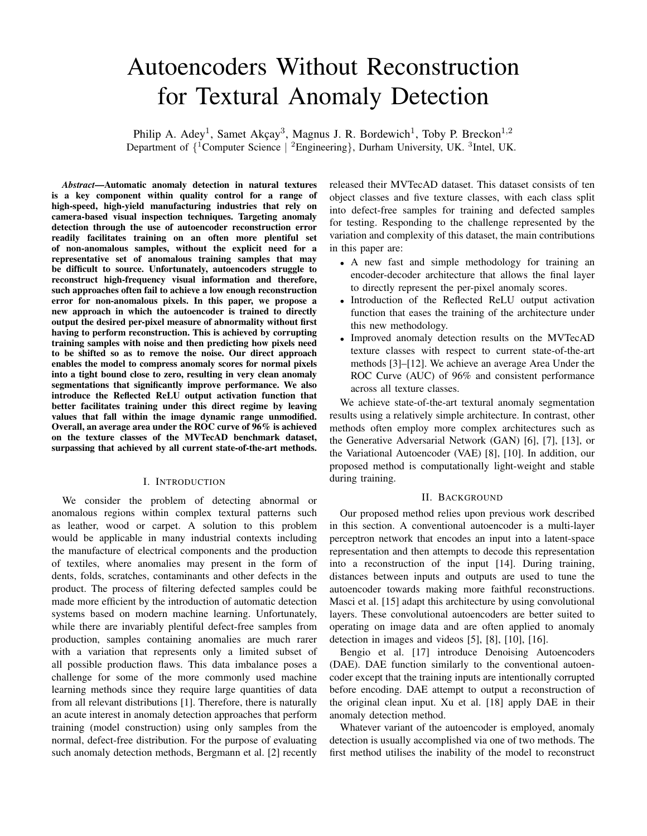# Autoencoders Without Reconstruction for Textural Anomaly Detection

Philip A. Adey<sup>1</sup>, Samet Akçay<sup>3</sup>, Magnus J. R. Bordewich<sup>1</sup>, Toby P. Breckon<sup>1,2</sup> Department of  ${^{1}}$ Computer Science | <sup>2</sup>Engineering}, Durham University, UK. <sup>3</sup>Intel, UK.

*Abstract*—Automatic anomaly detection in natural textures is a key component within quality control for a range of high-speed, high-yield manufacturing industries that rely on camera-based visual inspection techniques. Targeting anomaly detection through the use of autoencoder reconstruction error readily facilitates training on an often more plentiful set of non-anomalous samples, without the explicit need for a representative set of anomalous training samples that may be difficult to source. Unfortunately, autoencoders struggle to reconstruct high-frequency visual information and therefore, such approaches often fail to achieve a low enough reconstruction error for non-anomalous pixels. In this paper, we propose a new approach in which the autoencoder is trained to directly output the desired per-pixel measure of abnormality without first having to perform reconstruction. This is achieved by corrupting training samples with noise and then predicting how pixels need to be shifted so as to remove the noise. Our direct approach enables the model to compress anomaly scores for normal pixels into a tight bound close to zero, resulting in very clean anomaly segmentations that significantly improve performance. We also introduce the Reflected ReLU output activation function that better facilitates training under this direct regime by leaving values that fall within the image dynamic range unmodified. Overall, an average area under the ROC curve of 96% is achieved on the texture classes of the MVTecAD benchmark dataset, surpassing that achieved by all current state-of-the-art methods.

## I. INTRODUCTION

We consider the problem of detecting abnormal or anomalous regions within complex textural patterns such as leather, wood or carpet. A solution to this problem would be applicable in many industrial contexts including the manufacture of electrical components and the production of textiles, where anomalies may present in the form of dents, folds, scratches, contaminants and other defects in the product. The process of filtering defected samples could be made more efficient by the introduction of automatic detection systems based on modern machine learning. Unfortunately, while there are invariably plentiful defect-free samples from production, samples containing anomalies are much rarer with a variation that represents only a limited subset of all possible production flaws. This data imbalance poses a challenge for some of the more commonly used machine learning methods since they require large quantities of data from all relevant distributions [1]. Therefore, there is naturally an acute interest in anomaly detection approaches that perform training (model construction) using only samples from the normal, defect-free distribution. For the purpose of evaluating such anomaly detection methods, Bergmann et al. [2] recently

released their MVTecAD dataset. This dataset consists of ten object classes and five texture classes, with each class split into defect-free samples for training and defected samples for testing. Responding to the challenge represented by the variation and complexity of this dataset, the main contributions in this paper are:

- A new fast and simple methodology for training an encoder-decoder architecture that allows the final layer to directly represent the per-pixel anomaly scores.
- Introduction of the Reflected ReLU output activation function that eases the training of the architecture under this new methodology.
- Improved anomaly detection results on the MVTecAD texture classes with respect to current state-of-the-art methods [3]–[12]. We achieve an average Area Under the ROC Curve (AUC) of 96% and consistent performance across all texture classes.

We achieve state-of-the-art textural anomaly segmentation results using a relatively simple architecture. In contrast, other methods often employ more complex architectures such as the Generative Adversarial Network (GAN) [6], [7], [13], or the Variational Autoencoder (VAE) [8], [10]. In addition, our proposed method is computationally light-weight and stable during training.

#### II. BACKGROUND

Our proposed method relies upon previous work described in this section. A conventional autoencoder is a multi-layer perceptron network that encodes an input into a latent-space representation and then attempts to decode this representation into a reconstruction of the input [14]. During training, distances between inputs and outputs are used to tune the autoencoder towards making more faithful reconstructions. Masci et al. [15] adapt this architecture by using convolutional layers. These convolutional autoencoders are better suited to operating on image data and are often applied to anomaly detection in images and videos [5], [8], [10], [16].

Bengio et al. [17] introduce Denoising Autoencoders (DAE). DAE function similarly to the conventional autoencoder except that the training inputs are intentionally corrupted before encoding. DAE attempt to output a reconstruction of the original clean input. Xu et al. [18] apply DAE in their anomaly detection method.

Whatever variant of the autoencoder is employed, anomaly detection is usually accomplished via one of two methods. The first method utilises the inability of the model to reconstruct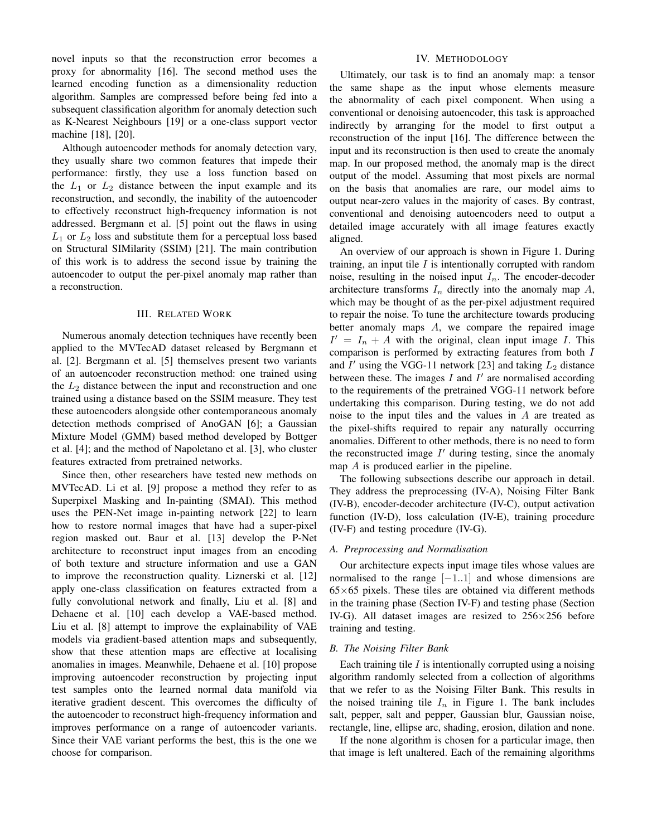novel inputs so that the reconstruction error becomes a proxy for abnormality [16]. The second method uses the learned encoding function as a dimensionality reduction algorithm. Samples are compressed before being fed into a subsequent classification algorithm for anomaly detection such as K-Nearest Neighbours [19] or a one-class support vector machine [18], [20].

Although autoencoder methods for anomaly detection vary, they usually share two common features that impede their performance: firstly, they use a loss function based on the  $L_1$  or  $L_2$  distance between the input example and its reconstruction, and secondly, the inability of the autoencoder to effectively reconstruct high-frequency information is not addressed. Bergmann et al. [5] point out the flaws in using  $L_1$  or  $L_2$  loss and substitute them for a perceptual loss based on Structural SIMilarity (SSIM) [21]. The main contribution of this work is to address the second issue by training the autoencoder to output the per-pixel anomaly map rather than a reconstruction.

## III. RELATED WORK

Numerous anomaly detection techniques have recently been applied to the MVTecAD dataset released by Bergmann et al. [2]. Bergmann et al. [5] themselves present two variants of an autoencoder reconstruction method: one trained using the  $L_2$  distance between the input and reconstruction and one trained using a distance based on the SSIM measure. They test these autoencoders alongside other contemporaneous anomaly detection methods comprised of AnoGAN [6]; a Gaussian Mixture Model (GMM) based method developed by Bottger et al. [4]; and the method of Napoletano et al. [3], who cluster features extracted from pretrained networks.

Since then, other researchers have tested new methods on MVTecAD. Li et al. [9] propose a method they refer to as Superpixel Masking and In-painting (SMAI). This method uses the PEN-Net image in-painting network [22] to learn how to restore normal images that have had a super-pixel region masked out. Baur et al. [13] develop the P-Net architecture to reconstruct input images from an encoding of both texture and structure information and use a GAN to improve the reconstruction quality. Liznerski et al. [12] apply one-class classification on features extracted from a fully convolutional network and finally, Liu et al. [8] and Dehaene et al. [10] each develop a VAE-based method. Liu et al. [8] attempt to improve the explainability of VAE models via gradient-based attention maps and subsequently, show that these attention maps are effective at localising anomalies in images. Meanwhile, Dehaene et al. [10] propose improving autoencoder reconstruction by projecting input test samples onto the learned normal data manifold via iterative gradient descent. This overcomes the difficulty of the autoencoder to reconstruct high-frequency information and improves performance on a range of autoencoder variants. Since their VAE variant performs the best, this is the one we choose for comparison.

# IV. METHODOLOGY

Ultimately, our task is to find an anomaly map: a tensor the same shape as the input whose elements measure the abnormality of each pixel component. When using a conventional or denoising autoencoder, this task is approached indirectly by arranging for the model to first output a reconstruction of the input [16]. The difference between the input and its reconstruction is then used to create the anomaly map. In our proposed method, the anomaly map is the direct output of the model. Assuming that most pixels are normal on the basis that anomalies are rare, our model aims to output near-zero values in the majority of cases. By contrast, conventional and denoising autoencoders need to output a detailed image accurately with all image features exactly aligned.

An overview of our approach is shown in Figure 1. During training, an input tile  $I$  is intentionally corrupted with random noise, resulting in the noised input  $I_n$ . The encoder-decoder architecture transforms  $I_n$  directly into the anomaly map  $A$ , which may be thought of as the per-pixel adjustment required to repair the noise. To tune the architecture towards producing better anomaly maps A, we compare the repaired image  $I' = I_n + A$  with the original, clean input image I. This comparison is performed by extracting features from both I and  $I'$  using the VGG-11 network [23] and taking  $L_2$  distance between these. The images  $I$  and  $I'$  are normalised according to the requirements of the pretrained VGG-11 network before undertaking this comparison. During testing, we do not add noise to the input tiles and the values in A are treated as the pixel-shifts required to repair any naturally occurring anomalies. Different to other methods, there is no need to form the reconstructed image  $I'$  during testing, since the anomaly map A is produced earlier in the pipeline.

The following subsections describe our approach in detail. They address the preprocessing (IV-A), Noising Filter Bank (IV-B), encoder-decoder architecture (IV-C), output activation function (IV-D), loss calculation (IV-E), training procedure (IV-F) and testing procedure (IV-G).

#### *A. Preprocessing and Normalisation*

Our architecture expects input image tiles whose values are normalised to the range  $[-1..1]$  and whose dimensions are  $65\times65$  pixels. These tiles are obtained via different methods in the training phase (Section IV-F) and testing phase (Section IV-G). All dataset images are resized to  $256 \times 256$  before training and testing.

#### *B. The Noising Filter Bank*

Each training tile  $I$  is intentionally corrupted using a noising algorithm randomly selected from a collection of algorithms that we refer to as the Noising Filter Bank. This results in the noised training tile  $I_n$  in Figure 1. The bank includes salt, pepper, salt and pepper, Gaussian blur, Gaussian noise, rectangle, line, ellipse arc, shading, erosion, dilation and none.

If the none algorithm is chosen for a particular image, then that image is left unaltered. Each of the remaining algorithms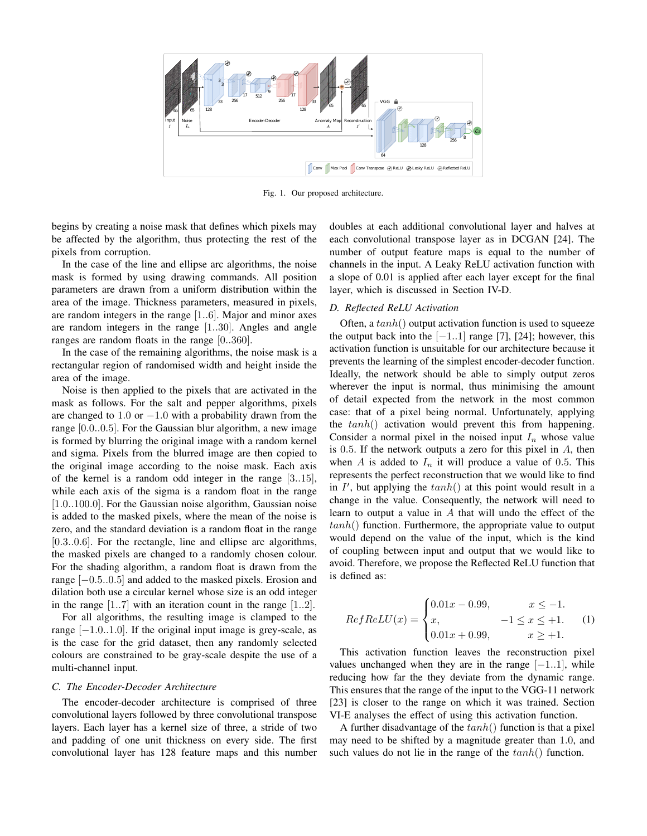

Fig. 1. Our proposed architecture.

begins by creating a noise mask that defines which pixels may be affected by the algorithm, thus protecting the rest of the pixels from corruption.

In the case of the line and ellipse arc algorithms, the noise mask is formed by using drawing commands. All position parameters are drawn from a uniform distribution within the area of the image. Thickness parameters, measured in pixels, are random integers in the range [1..6]. Major and minor axes are random integers in the range [1..30]. Angles and angle ranges are random floats in the range [0..360].

In the case of the remaining algorithms, the noise mask is a rectangular region of randomised width and height inside the area of the image.

Noise is then applied to the pixels that are activated in the mask as follows. For the salt and pepper algorithms, pixels are changed to 1.0 or  $-1.0$  with a probability drawn from the range [0.0..0.5]. For the Gaussian blur algorithm, a new image is formed by blurring the original image with a random kernel and sigma. Pixels from the blurred image are then copied to the original image according to the noise mask. Each axis of the kernel is a random odd integer in the range [3..15], while each axis of the sigma is a random float in the range [1.0..100.0]. For the Gaussian noise algorithm, Gaussian noise is added to the masked pixels, where the mean of the noise is zero, and the standard deviation is a random float in the range [0.3..0.6]. For the rectangle, line and ellipse arc algorithms, the masked pixels are changed to a randomly chosen colour. For the shading algorithm, a random float is drawn from the range [−0.5..0.5] and added to the masked pixels. Erosion and dilation both use a circular kernel whose size is an odd integer in the range [1..7] with an iteration count in the range [1..2].

For all algorithms, the resulting image is clamped to the range  $[-1.0..1.0]$ . If the original input image is grey-scale, as is the case for the grid dataset, then any randomly selected colours are constrained to be gray-scale despite the use of a multi-channel input.

## *C. The Encoder-Decoder Architecture*

The encoder-decoder architecture is comprised of three convolutional layers followed by three convolutional transpose layers. Each layer has a kernel size of three, a stride of two and padding of one unit thickness on every side. The first convolutional layer has 128 feature maps and this number doubles at each additional convolutional layer and halves at each convolutional transpose layer as in DCGAN [24]. The number of output feature maps is equal to the number of channels in the input. A Leaky ReLU activation function with a slope of 0.01 is applied after each layer except for the final layer, which is discussed in Section IV-D.

# *D. Reflected ReLU Activation*

Often, a  $tanh()$  output activation function is used to squeeze the output back into the  $[-1..1]$  range [7], [24]; however, this activation function is unsuitable for our architecture because it prevents the learning of the simplest encoder-decoder function. Ideally, the network should be able to simply output zeros wherever the input is normal, thus minimising the amount of detail expected from the network in the most common case: that of a pixel being normal. Unfortunately, applying the  $tanh()$  activation would prevent this from happening. Consider a normal pixel in the noised input  $I_n$  whose value is 0.5. If the network outputs a zero for this pixel in  $A$ , then when A is added to  $I_n$  it will produce a value of 0.5. This represents the perfect reconstruction that we would like to find in  $I'$ , but applying the  $tanh()$  at this point would result in a change in the value. Consequently, the network will need to learn to output a value in A that will undo the effect of the  $tanh()$  function. Furthermore, the appropriate value to output would depend on the value of the input, which is the kind of coupling between input and output that we would like to avoid. Therefore, we propose the Reflected ReLU function that is defined as:

$$
RefReLU(x) =
$$
\n
$$
\begin{cases}\n0.01x - 0.99, & x \le -1. \\
x, & -1 \le x \le +1. \\
0.01x + 0.99, & x \ge +1.\n\end{cases}
$$
\n(1)

This activation function leaves the reconstruction pixel values unchanged when they are in the range  $[-1..1]$ , while reducing how far the they deviate from the dynamic range. This ensures that the range of the input to the VGG-11 network [23] is closer to the range on which it was trained. Section VI-E analyses the effect of using this activation function.

A further disadvantage of the  $tanh()$  function is that a pixel may need to be shifted by a magnitude greater than 1.0, and such values do not lie in the range of the  $tanh()$  function.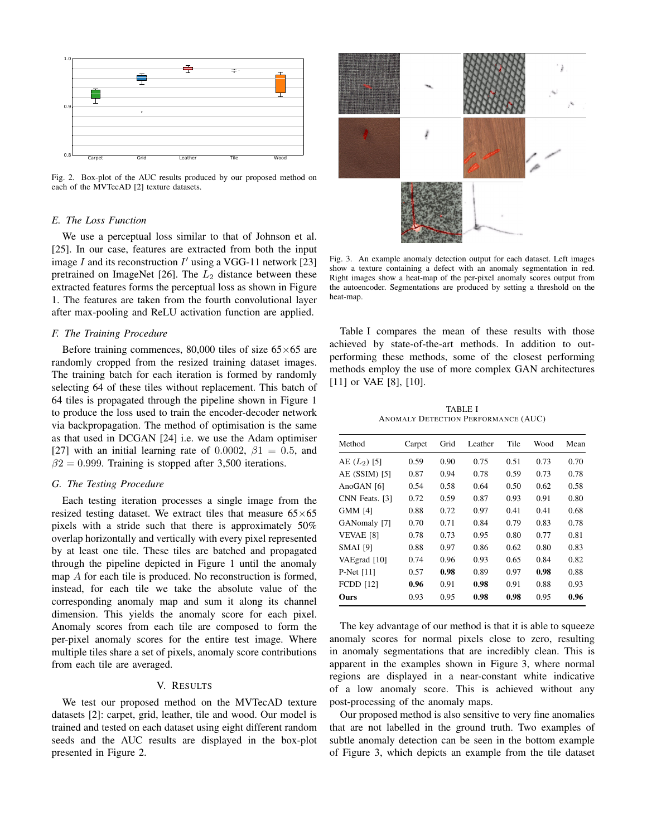

Fig. 2. Box-plot of the AUC results produced by our proposed method on each of the MVTecAD [2] texture datasets.

# *E. The Loss Function*

We use a perceptual loss similar to that of Johnson et al. [25]. In our case, features are extracted from both the input image  $I$  and its reconstruction  $I'$  using a VGG-11 network [23] pretrained on ImageNet  $[26]$ . The  $L_2$  distance between these extracted features forms the perceptual loss as shown in Figure 1. The features are taken from the fourth convolutional layer after max-pooling and ReLU activation function are applied.

#### *F. The Training Procedure*

Before training commences, 80,000 tiles of size  $65\times65$  are randomly cropped from the resized training dataset images. The training batch for each iteration is formed by randomly selecting 64 of these tiles without replacement. This batch of 64 tiles is propagated through the pipeline shown in Figure 1 to produce the loss used to train the encoder-decoder network via backpropagation. The method of optimisation is the same as that used in DCGAN [24] i.e. we use the Adam optimiser [27] with an initial learning rate of 0.0002,  $\beta$ 1 = 0.5, and  $\beta$ 2 = 0.999. Training is stopped after 3,500 iterations.

#### *G. The Testing Procedure*

Each testing iteration processes a single image from the resized testing dataset. We extract tiles that measure  $65\times65$ pixels with a stride such that there is approximately 50% overlap horizontally and vertically with every pixel represented by at least one tile. These tiles are batched and propagated through the pipeline depicted in Figure 1 until the anomaly map A for each tile is produced. No reconstruction is formed, instead, for each tile we take the absolute value of the corresponding anomaly map and sum it along its channel dimension. This yields the anomaly score for each pixel. Anomaly scores from each tile are composed to form the per-pixel anomaly scores for the entire test image. Where multiple tiles share a set of pixels, anomaly score contributions from each tile are averaged.

## V. RESULTS

We test our proposed method on the MVTecAD texture datasets [2]: carpet, grid, leather, tile and wood. Our model is trained and tested on each dataset using eight different random seeds and the AUC results are displayed in the box-plot presented in Figure 2.



Fig. 3. An example anomaly detection output for each dataset. Left images show a texture containing a defect with an anomaly segmentation in red. Right images show a heat-map of the per-pixel anomaly scores output from the autoencoder. Segmentations are produced by setting a threshold on the heat-map.

Table I compares the mean of these results with those achieved by state-of-the-art methods. In addition to outperforming these methods, some of the closest performing methods employ the use of more complex GAN architectures [11] or VAE [8], [10].

TABLE I ANOMALY DETECTION PERFORMANCE (AUC)

| Method           | Carpet | Grid | Leather | Tile | Wood | Mean |
|------------------|--------|------|---------|------|------|------|
| AE $(L_2)$ [5]   | 0.59   | 0.90 | 0.75    | 0.51 | 0.73 | 0.70 |
| $AE$ (SSIM) [5]  | 0.87   | 0.94 | 0.78    | 0.59 | 0.73 | 0.78 |
| AnoGAN [6]       | 0.54   | 0.58 | 0.64    | 0.50 | 0.62 | 0.58 |
| CNN Feats. [3]   | 0.72   | 0.59 | 0.87    | 0.93 | 0.91 | 0.80 |
| <b>GMM [4]</b>   | 0.88   | 0.72 | 0.97    | 0.41 | 0.41 | 0.68 |
| GANomaly [7]     | 0.70   | 0.71 | 0.84    | 0.79 | 0.83 | 0.78 |
| <b>VEVAE [8]</b> | 0.78   | 0.73 | 0.95    | 0.80 | 0.77 | 0.81 |
| <b>SMAI</b> [9]  | 0.88   | 0.97 | 0.86    | 0.62 | 0.80 | 0.83 |
| VAEgrad [10]     | 0.74   | 0.96 | 0.93    | 0.65 | 0.84 | 0.82 |
| P-Net $[11]$     | 0.57   | 0.98 | 0.89    | 0.97 | 0.98 | 0.88 |
| <b>FCDD</b> [12] | 0.96   | 0.91 | 0.98    | 0.91 | 0.88 | 0.93 |
| Ours             | 0.93   | 0.95 | 0.98    | 0.98 | 0.95 | 0.96 |
|                  |        |      |         |      |      |      |

The key advantage of our method is that it is able to squeeze anomaly scores for normal pixels close to zero, resulting in anomaly segmentations that are incredibly clean. This is apparent in the examples shown in Figure 3, where normal regions are displayed in a near-constant white indicative of a low anomaly score. This is achieved without any post-processing of the anomaly maps.

Our proposed method is also sensitive to very fine anomalies that are not labelled in the ground truth. Two examples of subtle anomaly detection can be seen in the bottom example of Figure 3, which depicts an example from the tile dataset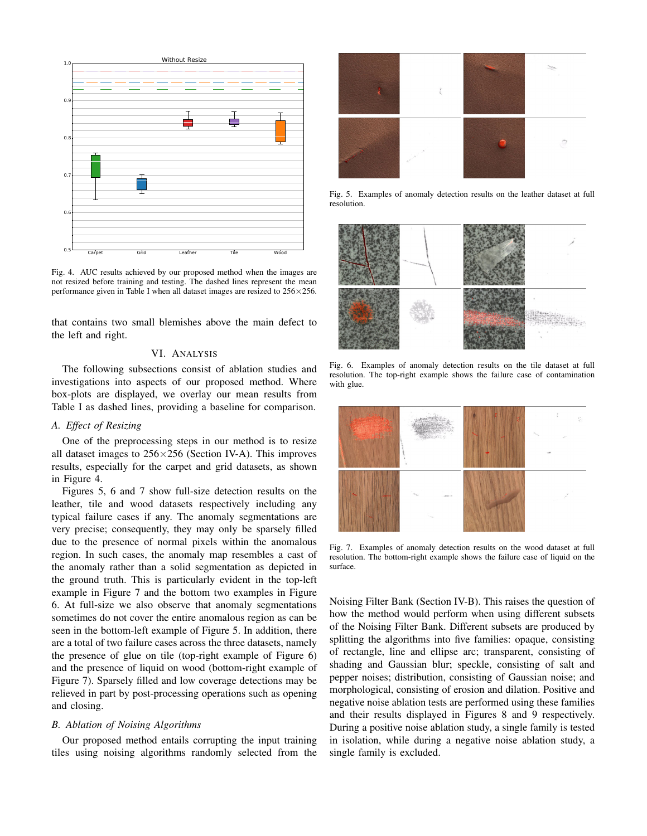

Fig. 4. AUC results achieved by our proposed method when the images are not resized before training and testing. The dashed lines represent the mean performance given in Table I when all dataset images are resized to 256×256.

that contains two small blemishes above the main defect to the left and right.

# VI. ANALYSIS

The following subsections consist of ablation studies and investigations into aspects of our proposed method. Where box-plots are displayed, we overlay our mean results from Table I as dashed lines, providing a baseline for comparison.

#### *A. Effect of Resizing*

One of the preprocessing steps in our method is to resize all dataset images to  $256 \times 256$  (Section IV-A). This improves results, especially for the carpet and grid datasets, as shown in Figure 4.

Figures 5, 6 and 7 show full-size detection results on the leather, tile and wood datasets respectively including any typical failure cases if any. The anomaly segmentations are very precise; consequently, they may only be sparsely filled due to the presence of normal pixels within the anomalous region. In such cases, the anomaly map resembles a cast of the anomaly rather than a solid segmentation as depicted in the ground truth. This is particularly evident in the top-left example in Figure 7 and the bottom two examples in Figure 6. At full-size we also observe that anomaly segmentations sometimes do not cover the entire anomalous region as can be seen in the bottom-left example of Figure 5. In addition, there are a total of two failure cases across the three datasets, namely the presence of glue on tile (top-right example of Figure 6) and the presence of liquid on wood (bottom-right example of Figure 7). Sparsely filled and low coverage detections may be relieved in part by post-processing operations such as opening and closing.

# *B. Ablation of Noising Algorithms*

Our proposed method entails corrupting the input training tiles using noising algorithms randomly selected from the



Fig. 5. Examples of anomaly detection results on the leather dataset at full resolution.



Fig. 6. Examples of anomaly detection results on the tile dataset at full resolution. The top-right example shows the failure case of contamination with glue.



Fig. 7. Examples of anomaly detection results on the wood dataset at full resolution. The bottom-right example shows the failure case of liquid on the surface.

Noising Filter Bank (Section IV-B). This raises the question of how the method would perform when using different subsets of the Noising Filter Bank. Different subsets are produced by splitting the algorithms into five families: opaque, consisting of rectangle, line and ellipse arc; transparent, consisting of shading and Gaussian blur; speckle, consisting of salt and pepper noises; distribution, consisting of Gaussian noise; and morphological, consisting of erosion and dilation. Positive and negative noise ablation tests are performed using these families and their results displayed in Figures 8 and 9 respectively. During a positive noise ablation study, a single family is tested in isolation, while during a negative noise ablation study, a single family is excluded.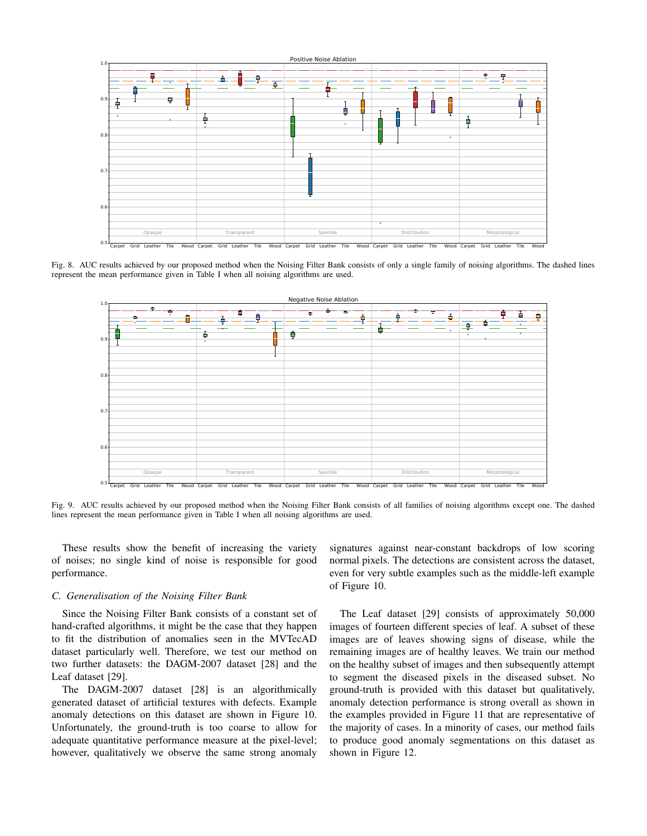

Fig. 8. AUC results achieved by our proposed method when the Noising Filter Bank consists of only a single family of noising algorithms. The dashed lines represent the mean performance given in Table I when all noising algorithms are used.



Fig. 9. AUC results achieved by our proposed method when the Noising Filter Bank consists of all families of noising algorithms except one. The dashed lines represent the mean performance given in Table I when all noising algorithms are used.

These results show the benefit of increasing the variety of noises; no single kind of noise is responsible for good performance.

## *C. Generalisation of the Noising Filter Bank*

Since the Noising Filter Bank consists of a constant set of hand-crafted algorithms, it might be the case that they happen to fit the distribution of anomalies seen in the MVTecAD dataset particularly well. Therefore, we test our method on two further datasets: the DAGM-2007 dataset [28] and the Leaf dataset [29].

The DAGM-2007 dataset [28] is an algorithmically generated dataset of artificial textures with defects. Example anomaly detections on this dataset are shown in Figure 10. Unfortunately, the ground-truth is too coarse to allow for adequate quantitative performance measure at the pixel-level; however, qualitatively we observe the same strong anomaly signatures against near-constant backdrops of low scoring normal pixels. The detections are consistent across the dataset, even for very subtle examples such as the middle-left example of Figure 10.

The Leaf dataset [29] consists of approximately 50,000 images of fourteen different species of leaf. A subset of these images are of leaves showing signs of disease, while the remaining images are of healthy leaves. We train our method on the healthy subset of images and then subsequently attempt to segment the diseased pixels in the diseased subset. No ground-truth is provided with this dataset but qualitatively, anomaly detection performance is strong overall as shown in the examples provided in Figure 11 that are representative of the majority of cases. In a minority of cases, our method fails to produce good anomaly segmentations on this dataset as shown in Figure 12.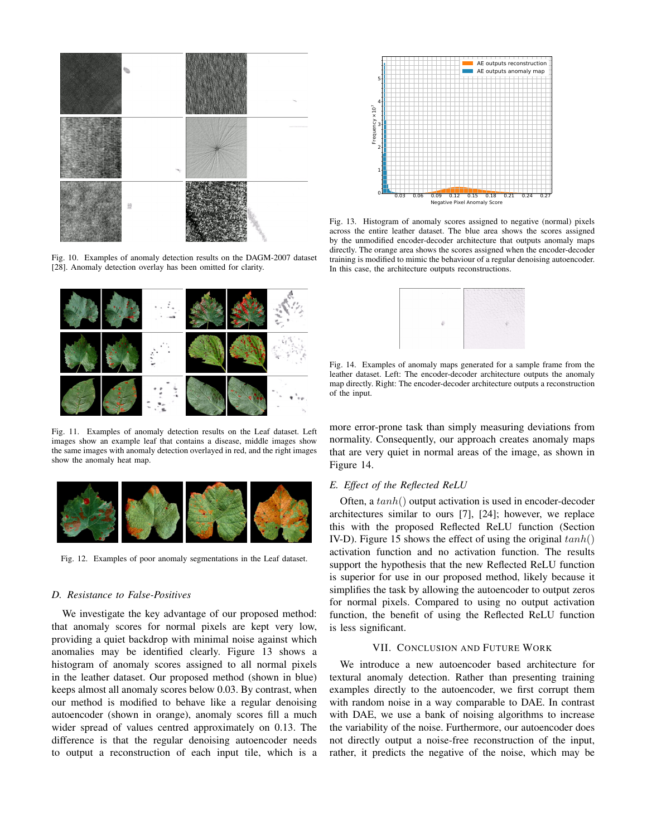

Fig. 10. Examples of anomaly detection results on the DAGM-2007 dataset [28]. Anomaly detection overlay has been omitted for clarity.



Fig. 11. Examples of anomaly detection results on the Leaf dataset. Left images show an example leaf that contains a disease, middle images show the same images with anomaly detection overlayed in red, and the right images show the anomaly heat map.



Fig. 12. Examples of poor anomaly segmentations in the Leaf dataset.

## *D. Resistance to False-Positives*

We investigate the key advantage of our proposed method: that anomaly scores for normal pixels are kept very low, providing a quiet backdrop with minimal noise against which anomalies may be identified clearly. Figure 13 shows a histogram of anomaly scores assigned to all normal pixels in the leather dataset. Our proposed method (shown in blue) keeps almost all anomaly scores below 0.03. By contrast, when our method is modified to behave like a regular denoising autoencoder (shown in orange), anomaly scores fill a much wider spread of values centred approximately on 0.13. The difference is that the regular denoising autoencoder needs to output a reconstruction of each input tile, which is a



Fig. 13. Histogram of anomaly scores assigned to negative (normal) pixels across the entire leather dataset. The blue area shows the scores assigned by the unmodified encoder-decoder architecture that outputs anomaly maps directly. The orange area shows the scores assigned when the encoder-decoder training is modified to mimic the behaviour of a regular denoising autoencoder. In this case, the architecture outputs reconstructions.



Fig. 14. Examples of anomaly maps generated for a sample frame from the leather dataset. Left: The encoder-decoder architecture outputs the anomaly map directly. Right: The encoder-decoder architecture outputs a reconstruction of the input.

more error-prone task than simply measuring deviations from normality. Consequently, our approach creates anomaly maps that are very quiet in normal areas of the image, as shown in Figure 14.

## *E. Effect of the Reflected ReLU*

Often, a  $tanh()$  output activation is used in encoder-decoder architectures similar to ours [7], [24]; however, we replace this with the proposed Reflected ReLU function (Section IV-D). Figure 15 shows the effect of using the original  $tanh()$ activation function and no activation function. The results support the hypothesis that the new Reflected ReLU function is superior for use in our proposed method, likely because it simplifies the task by allowing the autoencoder to output zeros for normal pixels. Compared to using no output activation function, the benefit of using the Reflected ReLU function is less significant.

#### VII. CONCLUSION AND FUTURE WORK

We introduce a new autoencoder based architecture for textural anomaly detection. Rather than presenting training examples directly to the autoencoder, we first corrupt them with random noise in a way comparable to DAE. In contrast with DAE, we use a bank of noising algorithms to increase the variability of the noise. Furthermore, our autoencoder does not directly output a noise-free reconstruction of the input, rather, it predicts the negative of the noise, which may be